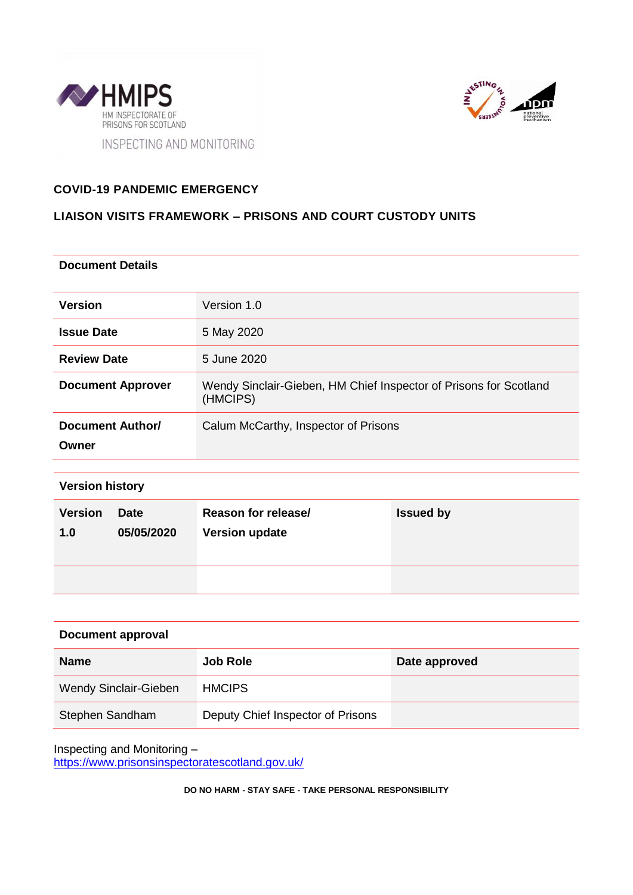



## **COVID-19 PANDEMIC EMERGENCY**

## **LIAISON VISITS FRAMEWORK – PRISONS AND COURT CUSTODY UNITS**

#### **Document Details**

| <b>Version</b>            | Version 1.0                                                                   |
|---------------------------|-------------------------------------------------------------------------------|
| <b>Issue Date</b>         | 5 May 2020                                                                    |
| <b>Review Date</b>        | 5 June 2020                                                                   |
| <b>Document Approver</b>  | Wendy Sinclair-Gieben, HM Chief Inspector of Prisons for Scotland<br>(HMCIPS) |
| Document Author/<br>Owner | Calum McCarthy, Inspector of Prisons                                          |

| <b>Version history</b> |                           |                                              |                  |  |  |  |  |  |  |  |  |
|------------------------|---------------------------|----------------------------------------------|------------------|--|--|--|--|--|--|--|--|
| <b>Version</b><br>1.0  | <b>Date</b><br>05/05/2020 | Reason for release/<br><b>Version update</b> | <b>Issued by</b> |  |  |  |  |  |  |  |  |
|                        |                           |                                              |                  |  |  |  |  |  |  |  |  |

| <b>Document approval</b>     |                                   |               |  |  |  |  |  |
|------------------------------|-----------------------------------|---------------|--|--|--|--|--|
| <b>Name</b>                  | <b>Job Role</b>                   | Date approved |  |  |  |  |  |
| <b>Wendy Sinclair-Gieben</b> | <b>HMCIPS</b>                     |               |  |  |  |  |  |
| Stephen Sandham              | Deputy Chief Inspector of Prisons |               |  |  |  |  |  |

Inspecting and Monitoring – <https://www.prisonsinspectoratescotland.gov.uk/>

**DO NO HARM - STAY SAFE - TAKE PERSONAL RESPONSIBILITY**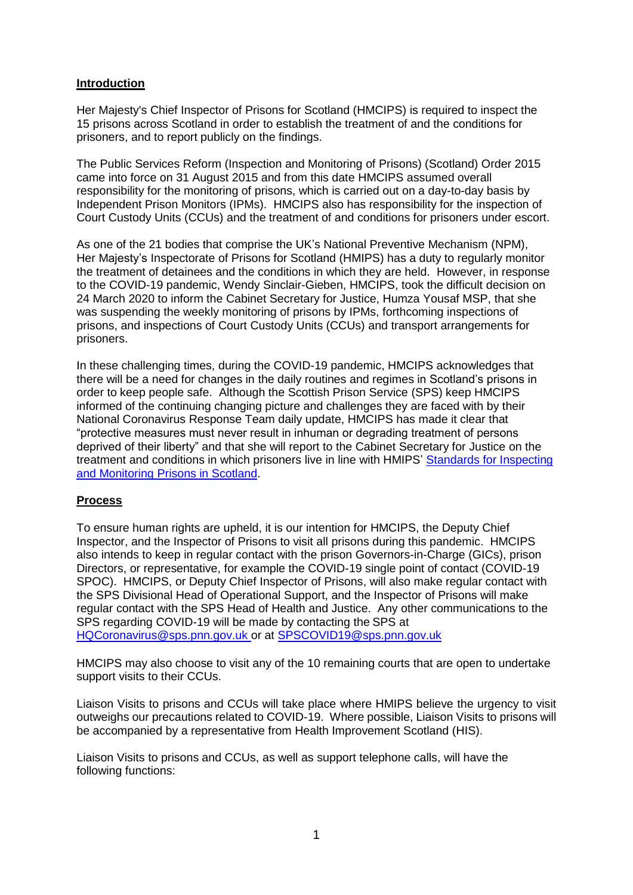## **Introduction**

Her Majesty's Chief Inspector of Prisons for Scotland (HMCIPS) is required to inspect the 15 prisons across Scotland in order to establish the treatment of and the conditions for prisoners, and to report publicly on the findings.

The Public Services Reform (Inspection and Monitoring of Prisons) (Scotland) Order 2015 came into force on 31 August 2015 and from this date HMCIPS assumed overall responsibility for the monitoring of prisons, which is carried out on a day-to-day basis by Independent Prison Monitors (IPMs). HMCIPS also has responsibility for the inspection of Court Custody Units (CCUs) and the treatment of and conditions for prisoners under escort.

As one of the 21 bodies that comprise the UK's National Preventive Mechanism (NPM), Her Majesty's Inspectorate of Prisons for Scotland (HMIPS) has a duty to regularly monitor the treatment of detainees and the conditions in which they are held. However, in response to the COVID-19 pandemic, Wendy Sinclair-Gieben, HMCIPS, took the difficult decision on 24 March 2020 to inform the Cabinet Secretary for Justice, Humza Yousaf MSP, that she was suspending the weekly monitoring of prisons by IPMs, forthcoming inspections of prisons, and inspections of Court Custody Units (CCUs) and transport arrangements for prisoners.

In these challenging times, during the COVID-19 pandemic, HMCIPS acknowledges that there will be a need for changes in the daily routines and regimes in Scotland's prisons in order to keep people safe. Although the Scottish Prison Service (SPS) keep HMCIPS informed of the continuing changing picture and challenges they are faced with by their National Coronavirus Response Team daily update, HMCIPS has made it clear that "protective measures must never result in inhuman or degrading treatment of persons deprived of their liberty" and that she will report to the Cabinet Secretary for Justice on the treatment and conditions in which prisoners live in line with HMIPS' [Standards for Inspecting](https://www.prisonsinspectoratescotland.gov.uk/standards)  [and Monitoring Prisons in Scotland.](https://www.prisonsinspectoratescotland.gov.uk/standards)

#### **Process**

To ensure human rights are upheld, it is our intention for HMCIPS, the Deputy Chief Inspector, and the Inspector of Prisons to visit all prisons during this pandemic. HMCIPS also intends to keep in regular contact with the prison Governors-in-Charge (GICs), prison Directors, or representative, for example the COVID-19 single point of contact (COVID-19 SPOC). HMCIPS, or Deputy Chief Inspector of Prisons, will also make regular contact with the SPS Divisional Head of Operational Support, and the Inspector of Prisons will make regular contact with the SPS Head of Health and Justice. Any other communications to the SPS regarding COVID-19 will be made by contacting the SPS at [HQCoronavirus@sps.pnn.gov.uk](mailto:HQCoronavirus@sps.pnn.gov.uk) or at [SPSCOVID19@sps.pnn.gov.uk](mailto:SPSCOVID19@sps.pnn.gov.uk)

HMCIPS may also choose to visit any of the 10 remaining courts that are open to undertake support visits to their CCUs.

Liaison Visits to prisons and CCUs will take place where HMIPS believe the urgency to visit outweighs our precautions related to COVID-19. Where possible, Liaison Visits to prisons will be accompanied by a representative from Health Improvement Scotland (HIS).

Liaison Visits to prisons and CCUs, as well as support telephone calls, will have the following functions: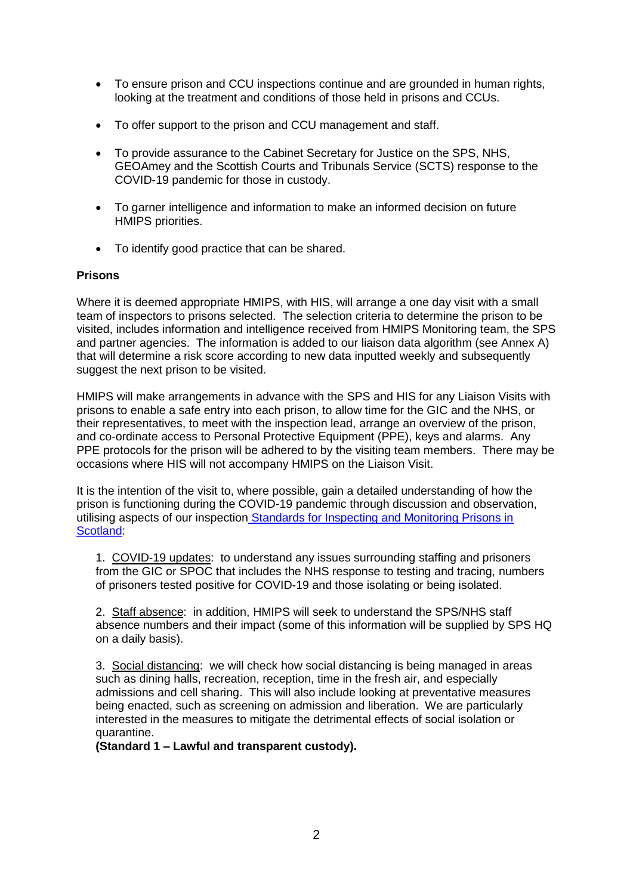- To ensure prison and CCU inspections continue and are grounded in human rights, looking at the treatment and conditions of those held in prisons and CCUs.
- To offer support to the prison and CCU management and staff.
- To provide assurance to the Cabinet Secretary for Justice on the SPS, NHS, GEOAmey and the Scottish Courts and Tribunals Service (SCTS) response to the COVID-19 pandemic for those in custody.
- To garner intelligence and information to make an informed decision on future HMIPS priorities.
- To identify good practice that can be shared.

#### **Prisons**

Where it is deemed appropriate HMIPS, with HIS, will arrange a one day visit with a small team of inspectors to prisons selected. The selection criteria to determine the prison to be visited, includes information and intelligence received from HMIPS Monitoring team, the SPS and partner agencies. The information is added to our liaison data algorithm (see Annex A) that will determine a risk score according to new data inputted weekly and subsequently suggest the next prison to be visited.

HMIPS will make arrangements in advance with the SPS and HIS for any Liaison Visits with prisons to enable a safe entry into each prison, to allow time for the GIC and the NHS, or their representatives, to meet with the inspection lead, arrange an overview of the prison, and co-ordinate access to Personal Protective Equipment (PPE), keys and alarms. Any PPE protocols for the prison will be adhered to by the visiting team members. There may be occasions where HIS will not accompany HMIPS on the Liaison Visit.

It is the intention of the visit to, where possible, gain a detailed understanding of how the prison is functioning during the COVID-19 pandemic through discussion and observation, utilising aspects of our inspection [Standards for Inspecting and Monitoring Prisons in](https://www.prisonsinspectoratescotland.gov.uk/standards)  [Scotland:](https://www.prisonsinspectoratescotland.gov.uk/standards)

1. COVID-19 updates: to understand any issues surrounding staffing and prisoners from the GIC or SPOC that includes the NHS response to testing and tracing, numbers of prisoners tested positive for COVID-19 and those isolating or being isolated.

2. Staff absence: in addition, HMIPS will seek to understand the SPS/NHS staff absence numbers and their impact (some of this information will be supplied by SPS HQ on a daily basis).

3. Social distancing: we will check how social distancing is being managed in areas such as dining halls, recreation, reception, time in the fresh air, and especially admissions and cell sharing. This will also include looking at preventative measures being enacted, such as screening on admission and liberation. We are particularly interested in the measures to mitigate the detrimental effects of social isolation or quarantine.

**(Standard 1 – Lawful and transparent custody).**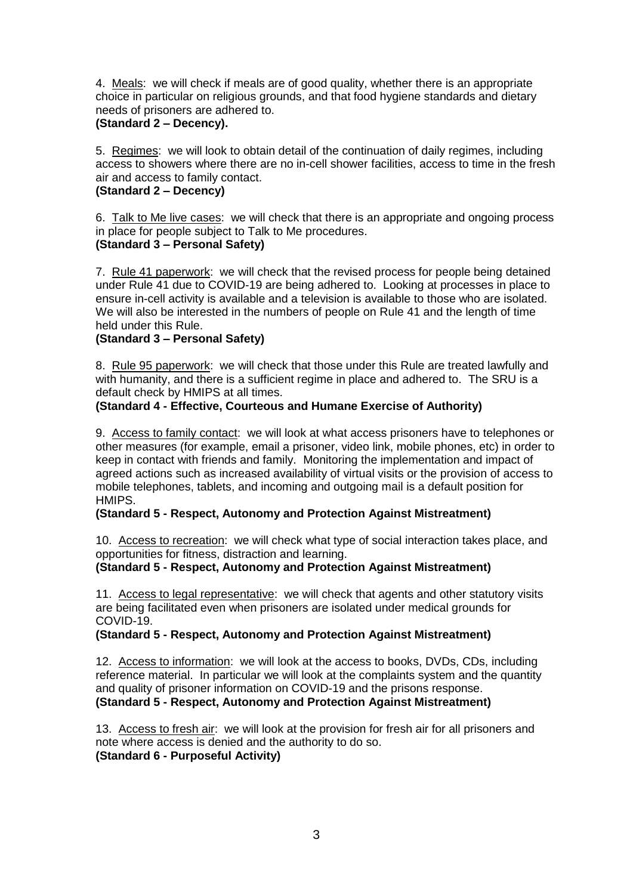4. Meals: we will check if meals are of good quality, whether there is an appropriate choice in particular on religious grounds, and that food hygiene standards and dietary needs of prisoners are adhered to.

## **(Standard 2 – Decency).**

5. Regimes: we will look to obtain detail of the continuation of daily regimes, including access to showers where there are no in-cell shower facilities, access to time in the fresh air and access to family contact.

## **(Standard 2 – Decency)**

6. Talk to Me live cases: we will check that there is an appropriate and ongoing process in place for people subject to Talk to Me procedures. **(Standard 3 – Personal Safety)**

7. Rule 41 paperwork: we will check that the revised process for people being detained under Rule 41 due to COVID-19 are being adhered to. Looking at processes in place to ensure in-cell activity is available and a television is available to those who are isolated. We will also be interested in the numbers of people on Rule 41 and the length of time held under this Rule.

## **(Standard 3 – Personal Safety)**

8. Rule 95 paperwork: we will check that those under this Rule are treated lawfully and with humanity, and there is a sufficient regime in place and adhered to. The SRU is a default check by HMIPS at all times.

## **(Standard 4 - Effective, Courteous and Humane Exercise of Authority)**

9. Access to family contact: we will look at what access prisoners have to telephones or other measures (for example, email a prisoner, video link, mobile phones, etc) in order to keep in contact with friends and family. Monitoring the implementation and impact of agreed actions such as increased availability of virtual visits or the provision of access to mobile telephones, tablets, and incoming and outgoing mail is a default position for HMIPS.

## **(Standard 5 - Respect, Autonomy and Protection Against Mistreatment)**

10. Access to recreation: we will check what type of social interaction takes place, and opportunities for fitness, distraction and learning.

#### **(Standard 5 - Respect, Autonomy and Protection Against Mistreatment)**

11. Access to legal representative: we will check that agents and other statutory visits are being facilitated even when prisoners are isolated under medical grounds for COVID-19.

#### **(Standard 5 - Respect, Autonomy and Protection Against Mistreatment)**

12. Access to information: we will look at the access to books, DVDs, CDs, including reference material. In particular we will look at the complaints system and the quantity and quality of prisoner information on COVID-19 and the prisons response. **(Standard 5 - Respect, Autonomy and Protection Against Mistreatment)**

13.Access to fresh air: we will look at the provision for fresh air for all prisoners and note where access is denied and the authority to do so. **(Standard 6 - Purposeful Activity)**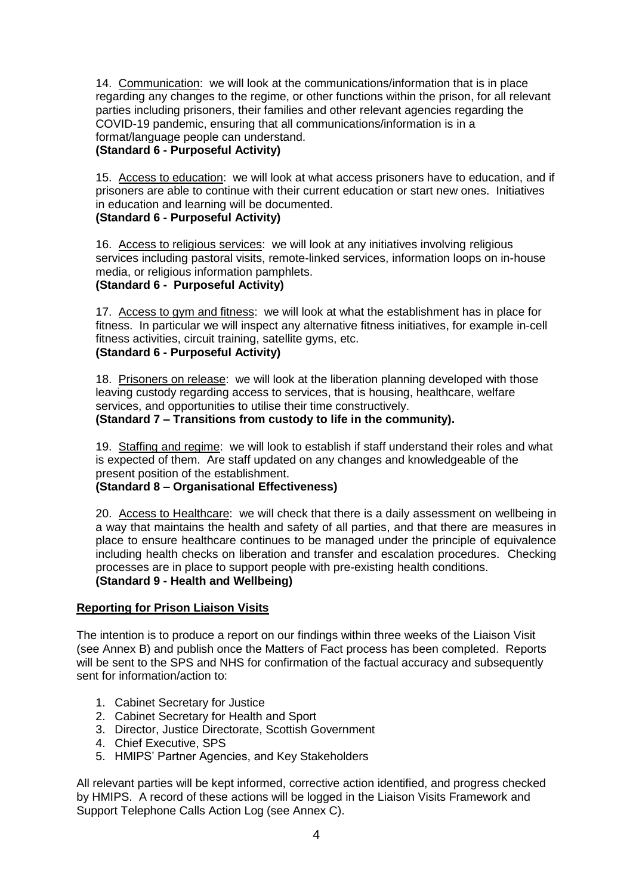14. Communication: we will look at the communications/information that is in place regarding any changes to the regime, or other functions within the prison, for all relevant parties including prisoners, their families and other relevant agencies regarding the COVID-19 pandemic, ensuring that all communications/information is in a format/language people can understand. **(Standard 6 - Purposeful Activity)**

15. Access to education: we will look at what access prisoners have to education, and if prisoners are able to continue with their current education or start new ones. Initiatives in education and learning will be documented.

## **(Standard 6 - Purposeful Activity)**

16. Access to religious services: we will look at any initiatives involving religious services including pastoral visits, remote-linked services, information loops on in-house media, or religious information pamphlets.

## **(Standard 6 - Purposeful Activity)**

17. Access to gym and fitness: we will look at what the establishment has in place for fitness. In particular we will inspect any alternative fitness initiatives, for example in-cell fitness activities, circuit training, satellite gyms, etc. **(Standard 6 - Purposeful Activity)**

18. Prisoners on release: we will look at the liberation planning developed with those leaving custody regarding access to services, that is housing, healthcare, welfare services, and opportunities to utilise their time constructively. **(Standard 7 – Transitions from custody to life in the community).**

19. Staffing and regime: we will look to establish if staff understand their roles and what is expected of them. Are staff updated on any changes and knowledgeable of the present position of the establishment.

#### **(Standard 8 – Organisational Effectiveness)**

20.Access to Healthcare: we will check that there is a daily assessment on wellbeing in a way that maintains the health and safety of all parties, and that there are measures in place to ensure healthcare continues to be managed under the principle of equivalence including health checks on liberation and transfer and escalation procedures. Checking processes are in place to support people with pre-existing health conditions. **(Standard 9 - Health and Wellbeing)**

#### **Reporting for Prison Liaison Visits**

The intention is to produce a report on our findings within three weeks of the Liaison Visit (see Annex B) and publish once the Matters of Fact process has been completed. Reports will be sent to the SPS and NHS for confirmation of the factual accuracy and subsequently sent for information/action to:

- 1. Cabinet Secretary for Justice
- 2. Cabinet Secretary for Health and Sport
- 3. Director, Justice Directorate, Scottish Government
- 4. Chief Executive, SPS
- 5. HMIPS' Partner Agencies, and Key Stakeholders

All relevant parties will be kept informed, corrective action identified, and progress checked by HMIPS. A record of these actions will be logged in the Liaison Visits Framework and Support Telephone Calls Action Log (see Annex C).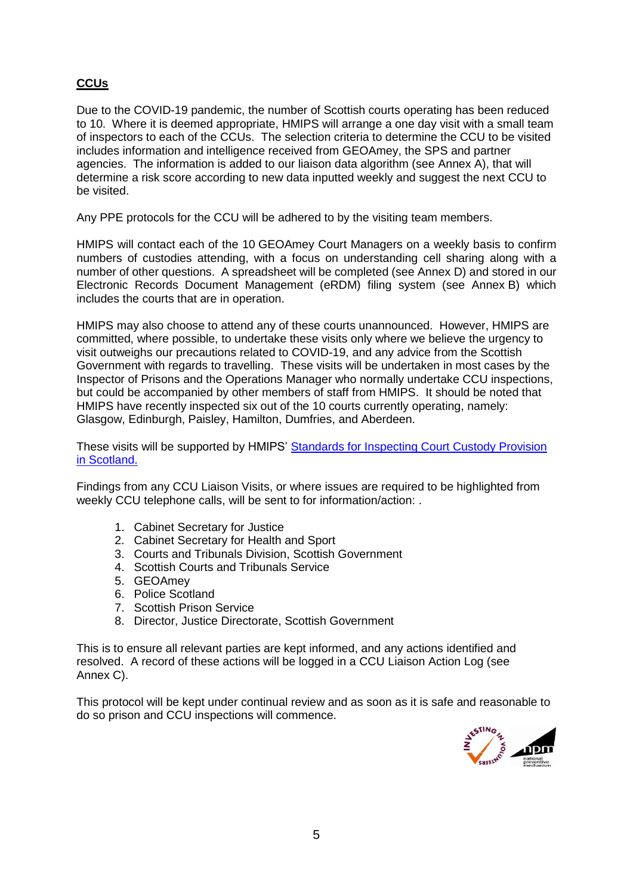# **CCUs**

Due to the COVID-19 pandemic, the number of Scottish courts operating has been reduced to 10. Where it is deemed appropriate, HMIPS will arrange a one day visit with a small team of inspectors to each of the CCUs. The selection criteria to determine the CCU to be visited includes information and intelligence received from GEOAmey, the SPS and partner agencies. The information is added to our liaison data algorithm (see Annex A), that will determine a risk score according to new data inputted weekly and suggest the next CCU to be visited.

Any PPE protocols for the CCU will be adhered to by the visiting team members.

HMIPS will contact each of the 10 GEOAmey Court Managers on a weekly basis to confirm numbers of custodies attending, with a focus on understanding cell sharing along with a number of other questions. A spreadsheet will be completed (see Annex D) and stored in our Electronic Records Document Management (eRDM) filing system (see Annex B) which includes the courts that are in operation.

HMIPS may also choose to attend any of these courts unannounced. However, HMIPS are committed, where possible, to undertake these visits only where we believe the urgency to visit outweighs our precautions related to COVID-19, and any advice from the Scottish Government with regards to travelling. These visits will be undertaken in most cases by the Inspector of Prisons and the Operations Manager who normally undertake CCU inspections, but could be accompanied by other members of staff from HMIPS. It should be noted that HMIPS have recently inspected six out of the 10 courts currently operating, namely: Glasgow, Edinburgh, Paisley, Hamilton, Dumfries, and Aberdeen.

These visits will be supported by HMIPS' [Standards for Inspecting Court Custody Provision](https://www.prisonsinspectoratescotland.gov.uk/publications/standards-inspecting-court-custody-provision-scotland)  [in Scotland.](https://www.prisonsinspectoratescotland.gov.uk/publications/standards-inspecting-court-custody-provision-scotland)

Findings from any CCU Liaison Visits, or where issues are required to be highlighted from weekly CCU telephone calls, will be sent to for information/action: .

- 1. Cabinet Secretary for Justice
- 2. Cabinet Secretary for Health and Sport
- 3. Courts and Tribunals Division, Scottish Government
- 4. Scottish Courts and Tribunals Service
- 5. GEOAmey
- 6. Police Scotland
- 7. Scottish Prison Service
- 8. Director, Justice Directorate, Scottish Government

This is to ensure all relevant parties are kept informed, and any actions identified and resolved. A record of these actions will be logged in a CCU Liaison Action Log (see Annex C).

This protocol will be kept under continual review and as soon as it is safe and reasonable to do so prison and CCU inspections will commence.

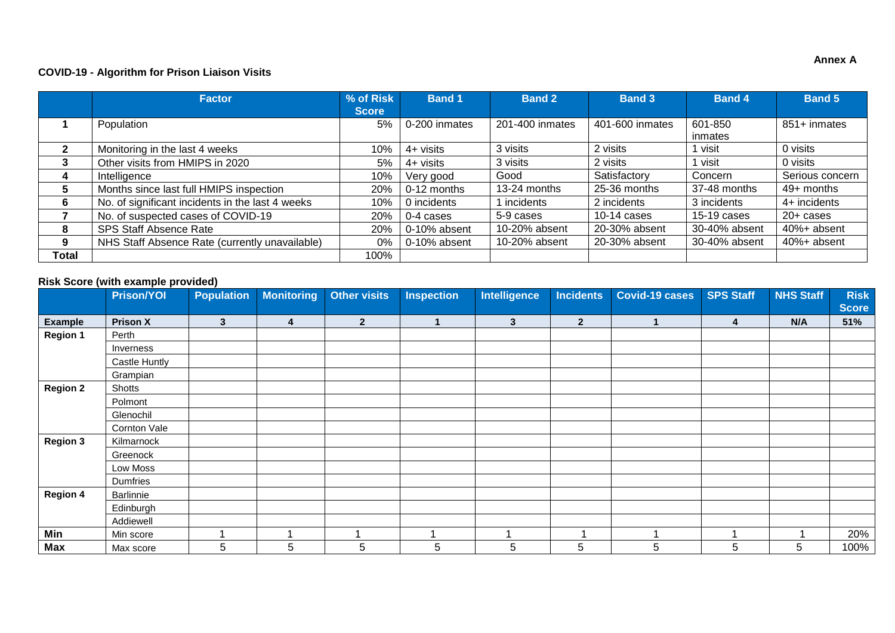#### **COVID-19 - Algorithm for Prison Liaison Visits**

|       | <b>Factor</b>                                    | % of Risk    | <b>Band 1</b> | <b>Band 2</b>   | <b>Band 3</b>   | <b>Band 4</b> | <b>Band 5</b>   |
|-------|--------------------------------------------------|--------------|---------------|-----------------|-----------------|---------------|-----------------|
|       |                                                  | <b>Score</b> |               |                 |                 |               |                 |
|       | Population                                       | 5%           | 0-200 inmates | 201-400 inmates | 401-600 inmates | 601-850       | 851+ inmates    |
|       |                                                  |              |               |                 |                 | inmates       |                 |
| 2     | Monitoring in the last 4 weeks                   | 10%          | $4+$ visits   | 3 visits        | 2 visits        | visit         | 0 visits        |
|       | Other visits from HMIPS in 2020                  | 5%           | 4+ visits     | 3 visits        | 2 visits        | visit         | 0 visits        |
| 4     | Intelligence                                     | 10%          | Very good     | Good            | Satisfactory    | Concern       | Serious concern |
| 5     | Months since last full HMIPS inspection          | 20%          | 0-12 months   | 13-24 months    | 25-36 months    | 37-48 months  | 49+ months      |
| 6     | No. of significant incidents in the last 4 weeks | 10%          | 0 incidents   | incidents       | 2 incidents     | 3 incidents   | 4+ incidents    |
|       | No. of suspected cases of COVID-19               | 20%          | 0-4 cases     | 5-9 cases       | $10-14$ cases   | $15-19$ cases | $20+$ cases     |
| 8     | <b>SPS Staff Absence Rate</b>                    | 20%          | 0-10% absent  | 10-20% absent   | 20-30% absent   | 30-40% absent | 40%+ absent     |
| 9     | NHS Staff Absence Rate (currently unavailable)   | $0\%$        | 0-10% absent  | 10-20% absent   | 20-30% absent   | 30-40% absent | 40%+ absent     |
| Total |                                                  | 100%         |               |                 |                 |               |                 |

## **Risk Score (with example provided)**

|                 | <b>Prison/YOI</b> | <b>Population</b> | <b>Monitoring</b> | <b>Other visits</b> | <b>Inspection</b> | Intelligence | <b>Incidents</b> | <b>Covid-19 cases</b> | <b>SPS Staff</b> | <b>NHS Staff</b> | <b>Risk</b><br><b>Score</b> |
|-----------------|-------------------|-------------------|-------------------|---------------------|-------------------|--------------|------------------|-----------------------|------------------|------------------|-----------------------------|
| <b>Example</b>  | <b>Prison X</b>   | 3                 | 4                 | $\overline{2}$      |                   | $\mathbf{3}$ | $\boldsymbol{2}$ |                       | 4                | N/A              | 51%                         |
| <b>Region 1</b> | Perth             |                   |                   |                     |                   |              |                  |                       |                  |                  |                             |
|                 | Inverness         |                   |                   |                     |                   |              |                  |                       |                  |                  |                             |
|                 | Castle Huntly     |                   |                   |                     |                   |              |                  |                       |                  |                  |                             |
|                 | Grampian          |                   |                   |                     |                   |              |                  |                       |                  |                  |                             |
| <b>Region 2</b> | Shotts            |                   |                   |                     |                   |              |                  |                       |                  |                  |                             |
|                 | Polmont           |                   |                   |                     |                   |              |                  |                       |                  |                  |                             |
|                 | Glenochil         |                   |                   |                     |                   |              |                  |                       |                  |                  |                             |
|                 | Cornton Vale      |                   |                   |                     |                   |              |                  |                       |                  |                  |                             |
| <b>Region 3</b> | Kilmarnock        |                   |                   |                     |                   |              |                  |                       |                  |                  |                             |
|                 | Greenock          |                   |                   |                     |                   |              |                  |                       |                  |                  |                             |
|                 | Low Moss          |                   |                   |                     |                   |              |                  |                       |                  |                  |                             |
|                 | Dumfries          |                   |                   |                     |                   |              |                  |                       |                  |                  |                             |
| <b>Region 4</b> | Barlinnie         |                   |                   |                     |                   |              |                  |                       |                  |                  |                             |
|                 | Edinburgh         |                   |                   |                     |                   |              |                  |                       |                  |                  |                             |
|                 | Addiewell         |                   |                   |                     |                   |              |                  |                       |                  |                  |                             |
| Min             | Min score         | ٠                 | ٠                 |                     |                   |              |                  |                       |                  |                  | 20%                         |
| Max             | Max score         | 5                 | 5                 | 5                   | 5                 | 5            | 5                | 5                     | 5                | 5                | 100%                        |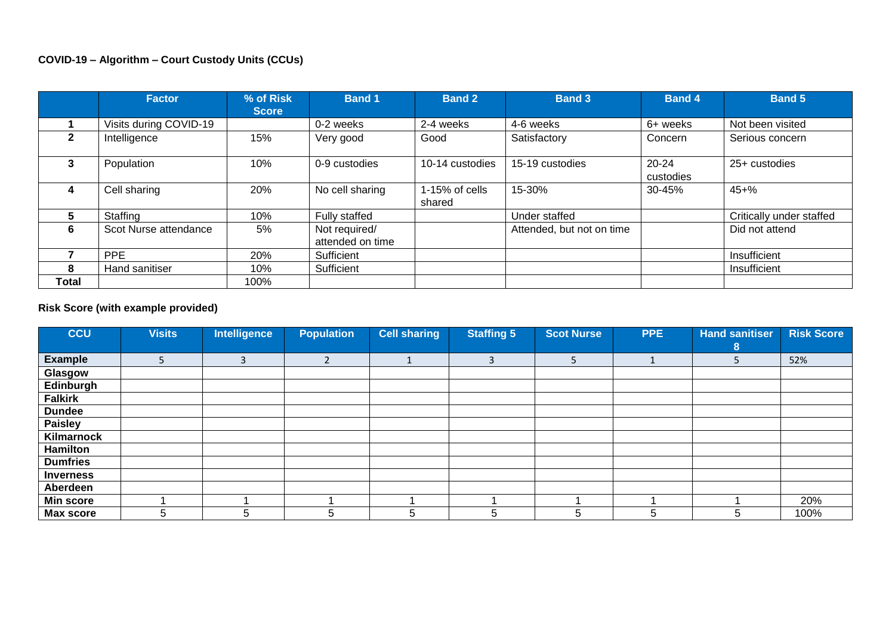|       | <b>Factor</b>          | % of Risk<br><b>Score</b> | <b>Band 1</b>                     | <b>Band 2</b>            | <b>Band 3</b>             | <b>Band 4</b>          | <b>Band 5</b>            |
|-------|------------------------|---------------------------|-----------------------------------|--------------------------|---------------------------|------------------------|--------------------------|
|       | Visits during COVID-19 |                           | 0-2 weeks                         | 2-4 weeks                | 4-6 weeks                 | 6+ weeks               | Not been visited         |
|       | Intelligence           | 15%                       | Very good                         | Good                     | Satisfactory              | Concern                | Serious concern          |
|       | Population             | 10%                       | 0-9 custodies                     | 10-14 custodies          | 15-19 custodies           | $20 - 24$<br>custodies | 25+ custodies            |
| 4     | Cell sharing           | 20%                       | No cell sharing                   | 1-15% of cells<br>shared | 15-30%                    | 30-45%                 | $45 + \%$                |
| 5.    | Staffing               | 10%                       | Fully staffed                     |                          | Under staffed             |                        | Critically under staffed |
| 6     | Scot Nurse attendance  | 5%                        | Not required/<br>attended on time |                          | Attended, but not on time |                        | Did not attend           |
|       | PPE                    | 20%                       | Sufficient                        |                          |                           |                        | Insufficient             |
| 8     | Hand sanitiser         | 10%                       | Sufficient                        |                          |                           |                        | Insufficient             |
| Total |                        | 100%                      |                                   |                          |                           |                        |                          |

## **Risk Score (with example provided)**

| <b>CCU</b>       | <b>Visits</b> | <b>Intelligence</b> | <b>Population</b> | <b>Cell sharing</b> | <b>Staffing 5</b> | <b>Scot Nurse</b> | <b>PPE</b> | <b>Hand sanitiser</b> | <b>Risk Score</b> |
|------------------|---------------|---------------------|-------------------|---------------------|-------------------|-------------------|------------|-----------------------|-------------------|
|                  |               |                     |                   |                     |                   |                   |            | 8                     |                   |
| <b>Example</b>   |               | 3                   | $\mathbf{r}$<br>∠ |                     | 3                 | 5                 |            |                       | 52%               |
| Glasgow          |               |                     |                   |                     |                   |                   |            |                       |                   |
| Edinburgh        |               |                     |                   |                     |                   |                   |            |                       |                   |
| <b>Falkirk</b>   |               |                     |                   |                     |                   |                   |            |                       |                   |
| <b>Dundee</b>    |               |                     |                   |                     |                   |                   |            |                       |                   |
| <b>Paisley</b>   |               |                     |                   |                     |                   |                   |            |                       |                   |
| Kilmarnock       |               |                     |                   |                     |                   |                   |            |                       |                   |
| <b>Hamilton</b>  |               |                     |                   |                     |                   |                   |            |                       |                   |
| <b>Dumfries</b>  |               |                     |                   |                     |                   |                   |            |                       |                   |
| <b>Inverness</b> |               |                     |                   |                     |                   |                   |            |                       |                   |
| Aberdeen         |               |                     |                   |                     |                   |                   |            |                       |                   |
| <b>Min score</b> |               |                     |                   |                     |                   |                   |            |                       | 20%               |
| <b>Max score</b> | 5             | 5                   | 5                 | 5                   | 5                 | 5                 | 5          | 5                     | 100%              |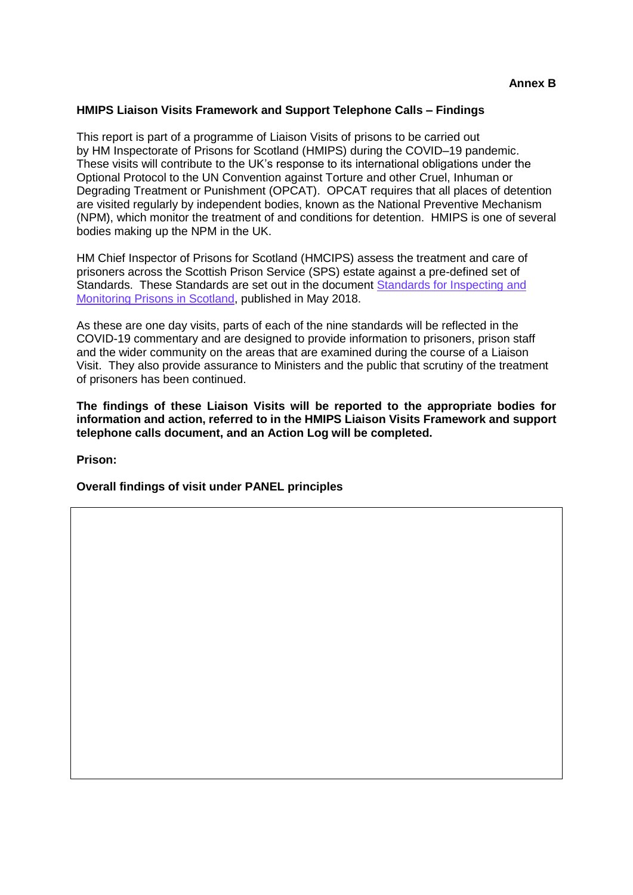#### **HMIPS Liaison Visits Framework and Support Telephone Calls – Findings**

This report is part of a programme of Liaison Visits of prisons to be carried out by HM Inspectorate of Prisons for Scotland (HMIPS) during the COVID–19 pandemic. These visits will contribute to the UK's response to its international obligations under the Optional Protocol to the UN Convention against Torture and other Cruel, Inhuman or Degrading Treatment or Punishment (OPCAT). OPCAT requires that all places of detention are visited regularly by independent bodies, known as the National Preventive Mechanism (NPM), which monitor the treatment of and conditions for detention. HMIPS is one of several bodies making up the NPM in the UK.

HM Chief Inspector of Prisons for Scotland (HMCIPS) assess the treatment and care of prisoners across the Scottish Prison Service (SPS) estate against a pre-defined set of Standards. These Standards are set out in the document [Standards for Inspecting and](https://www.prisonsinspectoratescotland.gov.uk/standards)  [Monitoring Prisons in Scotland,](https://www.prisonsinspectoratescotland.gov.uk/standards) published in May 2018.

As these are one day visits, parts of each of the nine standards will be reflected in the COVID-19 commentary and are designed to provide information to prisoners, prison staff and the wider community on the areas that are examined during the course of a Liaison Visit. They also provide assurance to Ministers and the public that scrutiny of the treatment of prisoners has been continued.

**The findings of these Liaison Visits will be reported to the appropriate bodies for information and action, referred to in the HMIPS Liaison Visits Framework and support telephone calls document, and an Action Log will be completed.** 

**Prison:** 

**Overall findings of visit under PANEL principles**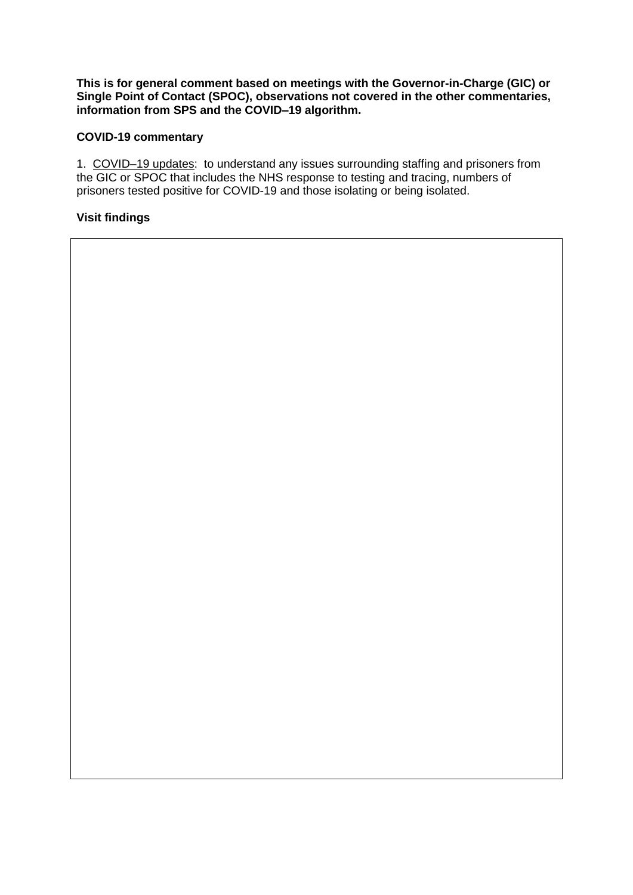**This is for general comment based on meetings with the Governor-in-Charge (GIC) or Single Point of Contact (SPOC), observations not covered in the other commentaries, information from SPS and the COVID–19 algorithm.**

#### **COVID-19 commentary**

1. COVID-19 updates: to understand any issues surrounding staffing and prisoners from the GIC or SPOC that includes the NHS response to testing and tracing, numbers of prisoners tested positive for COVID-19 and those isolating or being isolated.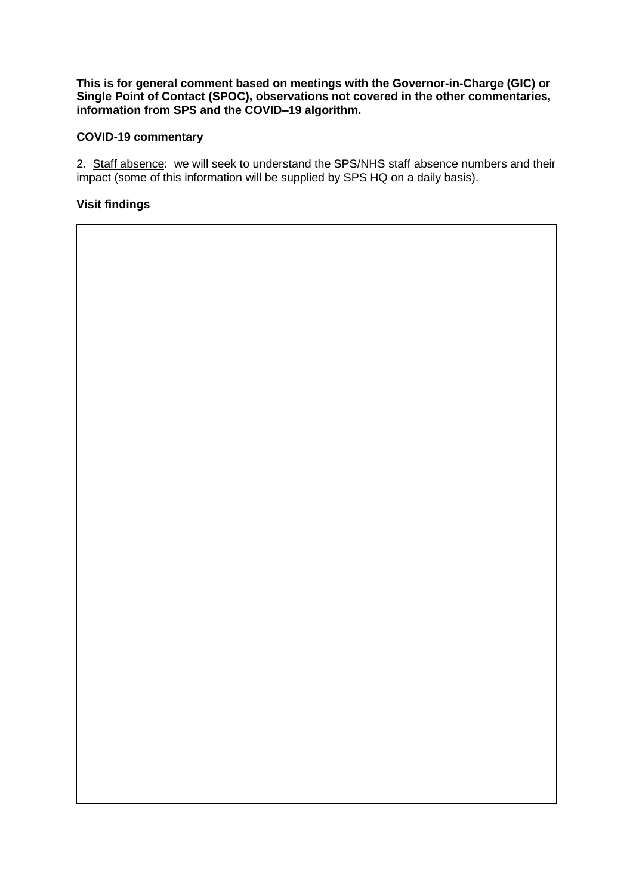**This is for general comment based on meetings with the Governor-in-Charge (GIC) or Single Point of Contact (SPOC), observations not covered in the other commentaries, information from SPS and the COVID–19 algorithm.**

## **COVID-19 commentary**

2. Staff absence: we will seek to understand the SPS/NHS staff absence numbers and their impact (some of this information will be supplied by SPS HQ on a daily basis).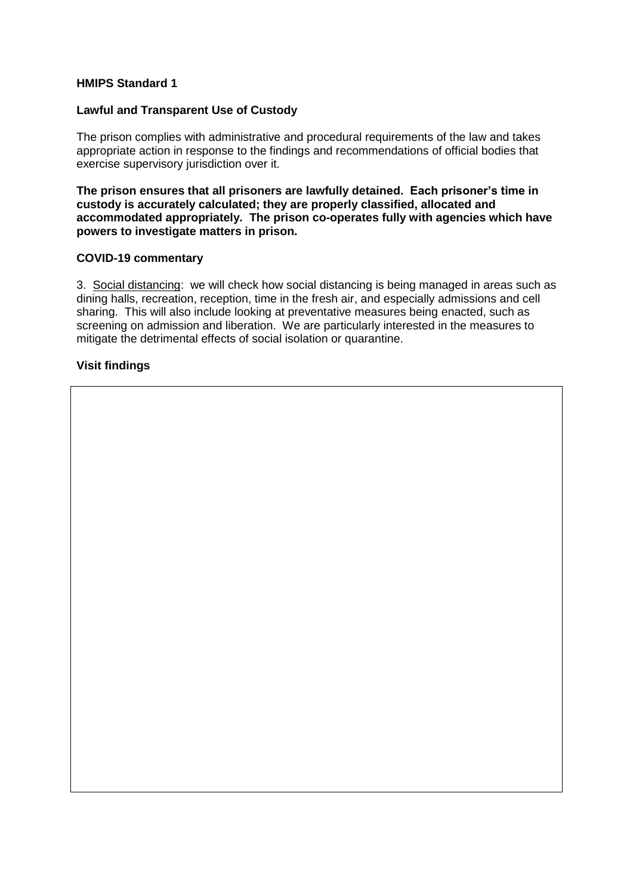#### **Lawful and Transparent Use of Custody**

The prison complies with administrative and procedural requirements of the law and takes appropriate action in response to the findings and recommendations of official bodies that exercise supervisory jurisdiction over it.

**The prison ensures that all prisoners are lawfully detained. Each prisoner's time in custody is accurately calculated; they are properly classified, allocated and accommodated appropriately. The prison co-operates fully with agencies which have powers to investigate matters in prison.**

#### **COVID-19 commentary**

3. Social distancing: we will check how social distancing is being managed in areas such as dining halls, recreation, reception, time in the fresh air, and especially admissions and cell sharing. This will also include looking at preventative measures being enacted, such as screening on admission and liberation. We are particularly interested in the measures to mitigate the detrimental effects of social isolation or quarantine.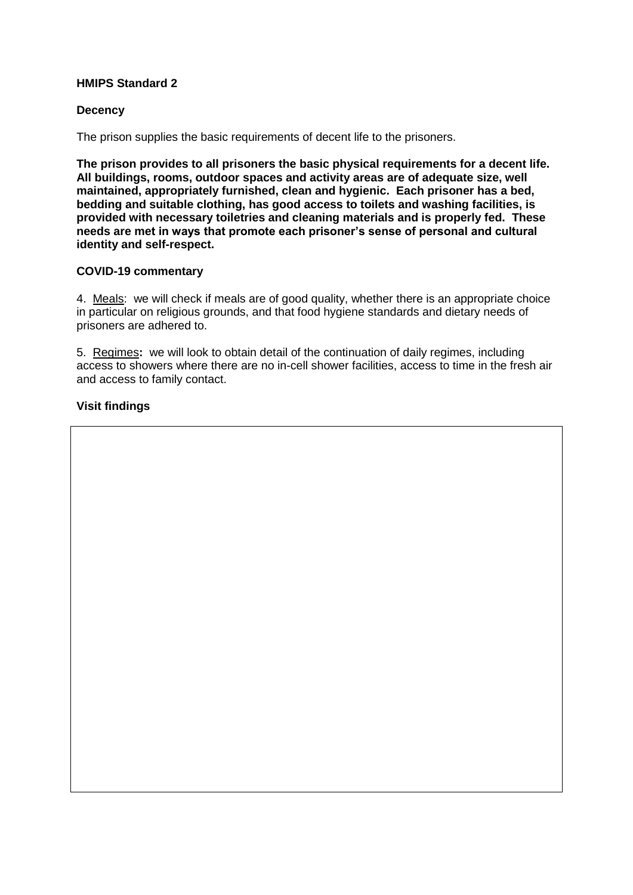### **Decency**

The prison supplies the basic requirements of decent life to the prisoners.

**The prison provides to all prisoners the basic physical requirements for a decent life. All buildings, rooms, outdoor spaces and activity areas are of adequate size, well maintained, appropriately furnished, clean and hygienic. Each prisoner has a bed, bedding and suitable clothing, has good access to toilets and washing facilities, is provided with necessary toiletries and cleaning materials and is properly fed. These needs are met in ways that promote each prisoner's sense of personal and cultural identity and self-respect.**

#### **COVID-19 commentary**

4. Meals: we will check if meals are of good quality, whether there is an appropriate choice in particular on religious grounds, and that food hygiene standards and dietary needs of prisoners are adhered to.

5. Regimes**:** we will look to obtain detail of the continuation of daily regimes, including access to showers where there are no in-cell shower facilities, access to time in the fresh air and access to family contact.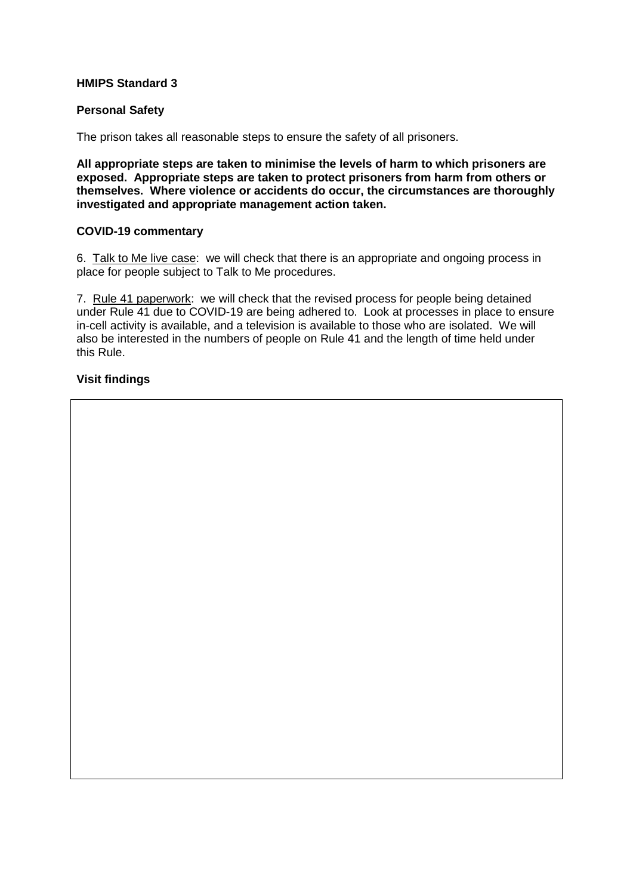#### **Personal Safety**

The prison takes all reasonable steps to ensure the safety of all prisoners.

**All appropriate steps are taken to minimise the levels of harm to which prisoners are exposed. Appropriate steps are taken to protect prisoners from harm from others or themselves. Where violence or accidents do occur, the circumstances are thoroughly investigated and appropriate management action taken.**

#### **COVID-19 commentary**

6. Talk to Me live case: we will check that there is an appropriate and ongoing process in place for people subject to Talk to Me procedures.

7. Rule 41 paperwork: we will check that the revised process for people being detained under Rule 41 due to COVID-19 are being adhered to. Look at processes in place to ensure in-cell activity is available, and a television is available to those who are isolated. We will also be interested in the numbers of people on Rule 41 and the length of time held under this Rule.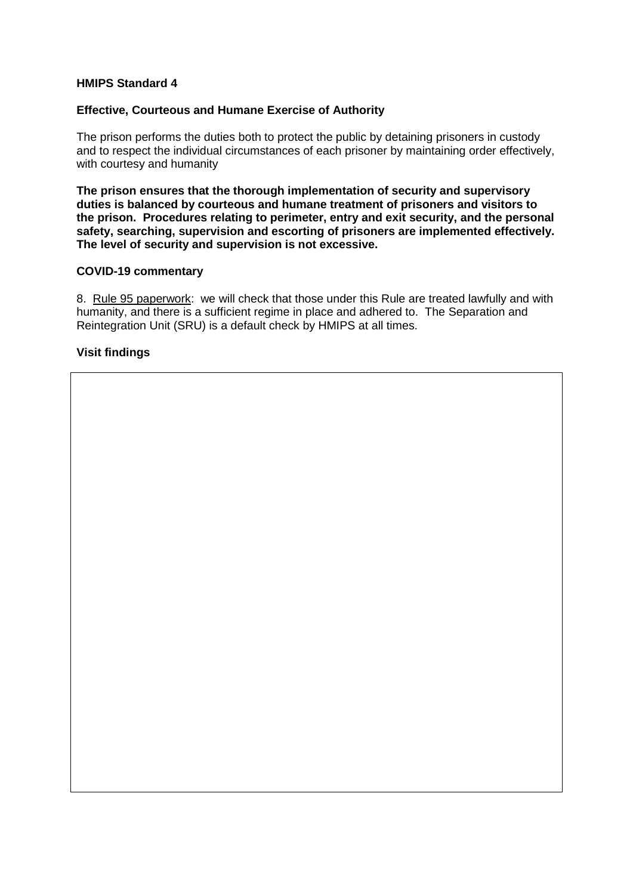#### **Effective, Courteous and Humane Exercise of Authority**

The prison performs the duties both to protect the public by detaining prisoners in custody and to respect the individual circumstances of each prisoner by maintaining order effectively, with courtesy and humanity

**The prison ensures that the thorough implementation of security and supervisory duties is balanced by courteous and humane treatment of prisoners and visitors to the prison. Procedures relating to perimeter, entry and exit security, and the personal safety, searching, supervision and escorting of prisoners are implemented effectively. The level of security and supervision is not excessive.**

#### **COVID-19 commentary**

8. Rule 95 paperwork: we will check that those under this Rule are treated lawfully and with humanity, and there is a sufficient regime in place and adhered to. The Separation and Reintegration Unit (SRU) is a default check by HMIPS at all times.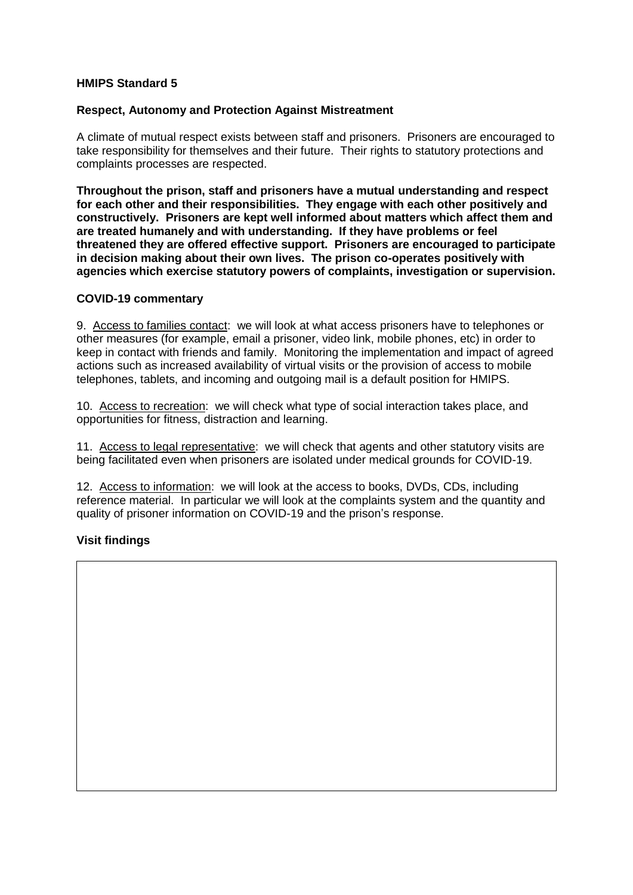#### **Respect, Autonomy and Protection Against Mistreatment**

A climate of mutual respect exists between staff and prisoners. Prisoners are encouraged to take responsibility for themselves and their future. Their rights to statutory protections and complaints processes are respected.

**Throughout the prison, staff and prisoners have a mutual understanding and respect for each other and their responsibilities. They engage with each other positively and constructively. Prisoners are kept well informed about matters which affect them and are treated humanely and with understanding. If they have problems or feel threatened they are offered effective support. Prisoners are encouraged to participate in decision making about their own lives. The prison co-operates positively with agencies which exercise statutory powers of complaints, investigation or supervision.**

#### **COVID-19 commentary**

9. Access to families contact: we will look at what access prisoners have to telephones or other measures (for example, email a prisoner, video link, mobile phones, etc) in order to keep in contact with friends and family. Monitoring the implementation and impact of agreed actions such as increased availability of virtual visits or the provision of access to mobile telephones, tablets, and incoming and outgoing mail is a default position for HMIPS.

10. Access to recreation: we will check what type of social interaction takes place, and opportunities for fitness, distraction and learning.

11. Access to legal representative: we will check that agents and other statutory visits are being facilitated even when prisoners are isolated under medical grounds for COVID-19.

12. Access to information: we will look at the access to books, DVDs, CDs, including reference material. In particular we will look at the complaints system and the quantity and quality of prisoner information on COVID-19 and the prison's response.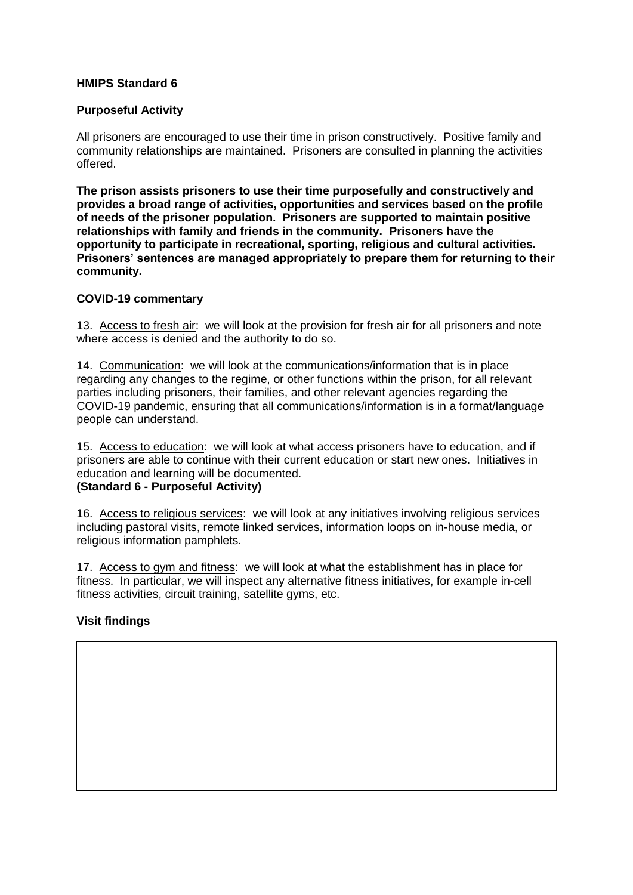## **Purposeful Activity**

All prisoners are encouraged to use their time in prison constructively. Positive family and community relationships are maintained. Prisoners are consulted in planning the activities offered.

**The prison assists prisoners to use their time purposefully and constructively and provides a broad range of activities, opportunities and services based on the profile of needs of the prisoner population. Prisoners are supported to maintain positive relationships with family and friends in the community. Prisoners have the opportunity to participate in recreational, sporting, religious and cultural activities. Prisoners' sentences are managed appropriately to prepare them for returning to their community.**

#### **COVID-19 commentary**

13. Access to fresh air: we will look at the provision for fresh air for all prisoners and note where access is denied and the authority to do so.

14. Communication: we will look at the communications/information that is in place regarding any changes to the regime, or other functions within the prison, for all relevant parties including prisoners, their families, and other relevant agencies regarding the COVID-19 pandemic, ensuring that all communications/information is in a format/language people can understand.

15. Access to education: we will look at what access prisoners have to education, and if prisoners are able to continue with their current education or start new ones. Initiatives in education and learning will be documented.

## **(Standard 6 - Purposeful Activity)**

16. Access to religious services: we will look at any initiatives involving religious services including pastoral visits, remote linked services, information loops on in-house media, or religious information pamphlets.

17. Access to gym and fitness: we will look at what the establishment has in place for fitness. In particular, we will inspect any alternative fitness initiatives, for example in-cell fitness activities, circuit training, satellite gyms, etc.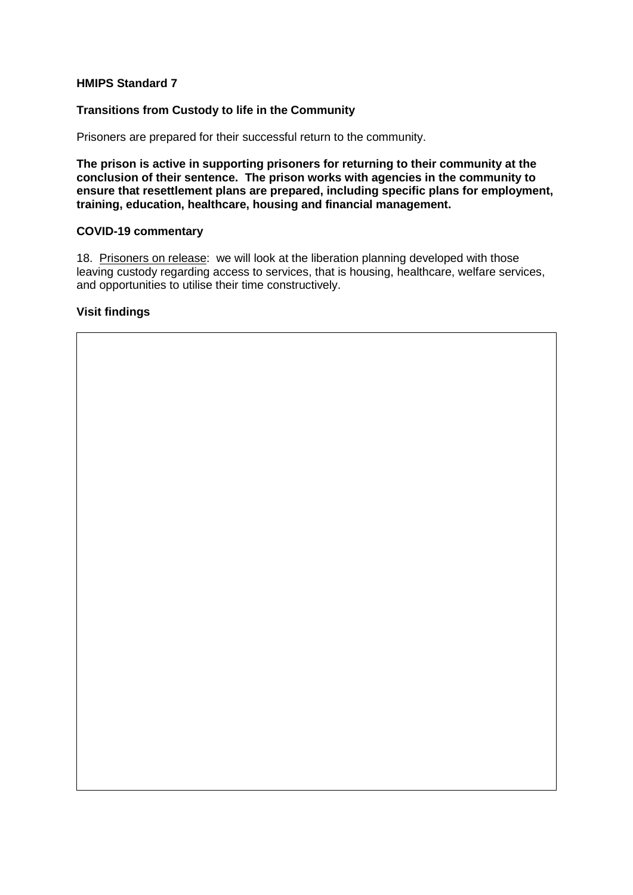## **Transitions from Custody to life in the Community**

Prisoners are prepared for their successful return to the community.

**The prison is active in supporting prisoners for returning to their community at the conclusion of their sentence. The prison works with agencies in the community to ensure that resettlement plans are prepared, including specific plans for employment, training, education, healthcare, housing and financial management.**

#### **COVID-19 commentary**

18. Prisoners on release: we will look at the liberation planning developed with those leaving custody regarding access to services, that is housing, healthcare, welfare services, and opportunities to utilise their time constructively.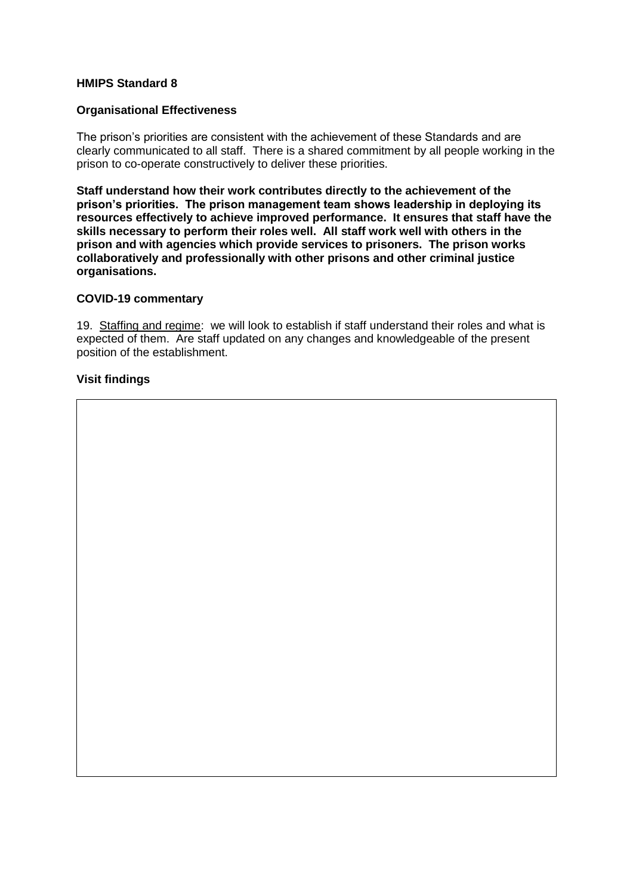#### **Organisational Effectiveness**

The prison's priorities are consistent with the achievement of these Standards and are clearly communicated to all staff. There is a shared commitment by all people working in the prison to co-operate constructively to deliver these priorities.

**Staff understand how their work contributes directly to the achievement of the prison's priorities. The prison management team shows leadership in deploying its resources effectively to achieve improved performance. It ensures that staff have the skills necessary to perform their roles well. All staff work well with others in the prison and with agencies which provide services to prisoners. The prison works collaboratively and professionally with other prisons and other criminal justice organisations.**

#### **COVID-19 commentary**

19. Staffing and regime: we will look to establish if staff understand their roles and what is expected of them. Are staff updated on any changes and knowledgeable of the present position of the establishment.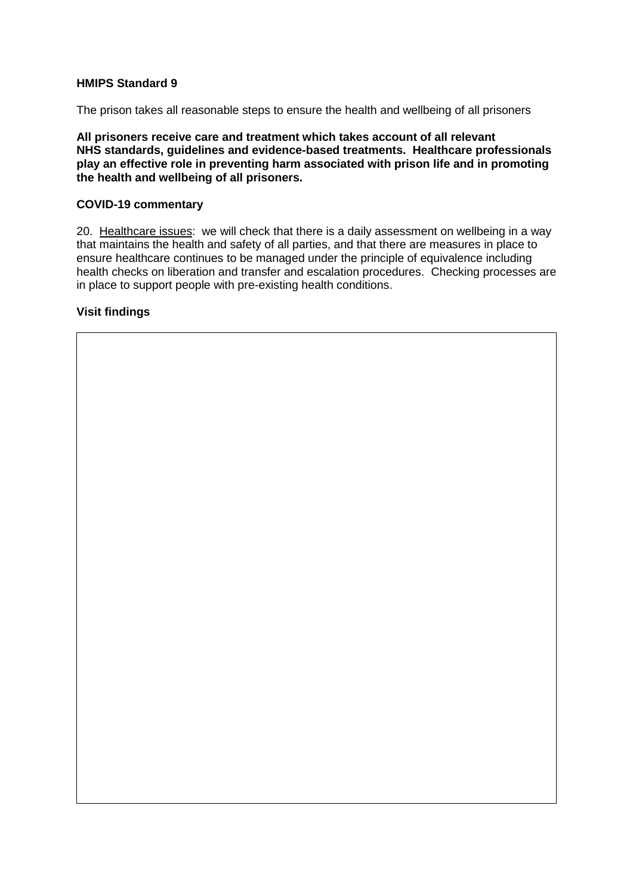The prison takes all reasonable steps to ensure the health and wellbeing of all prisoners

**All prisoners receive care and treatment which takes account of all relevant NHS standards, guidelines and evidence-based treatments. Healthcare professionals play an effective role in preventing harm associated with prison life and in promoting the health and wellbeing of all prisoners.** 

#### **COVID-19 commentary**

20. Healthcare issues: we will check that there is a daily assessment on wellbeing in a way that maintains the health and safety of all parties, and that there are measures in place to ensure healthcare continues to be managed under the principle of equivalence including health checks on liberation and transfer and escalation procedures. Checking processes are in place to support people with pre-existing health conditions.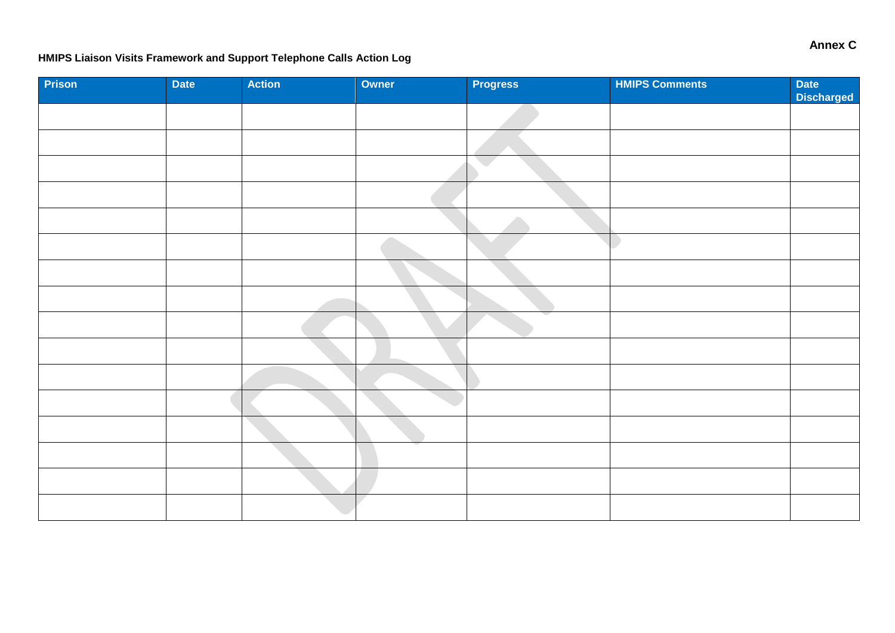# **HMIPS Liaison Visits Framework and Support Telephone Calls Action Log**

| Prison | Date | <b>Action</b> | Owner | <b>Progress</b> | <b>HMIPS Comments</b> | Date<br>Discharged |
|--------|------|---------------|-------|-----------------|-----------------------|--------------------|
|        |      |               |       |                 |                       |                    |
|        |      |               |       |                 |                       |                    |
|        |      |               |       |                 |                       |                    |
|        |      |               |       |                 |                       |                    |
|        |      |               |       |                 |                       |                    |
|        |      |               |       |                 |                       |                    |
|        |      |               |       |                 |                       |                    |
|        |      |               |       |                 |                       |                    |
|        |      |               |       |                 |                       |                    |
|        |      |               |       |                 |                       |                    |
|        |      |               |       |                 |                       |                    |
|        |      |               |       |                 |                       |                    |
|        |      |               |       |                 |                       |                    |
|        |      |               |       |                 |                       |                    |
|        |      |               |       |                 |                       |                    |
|        |      |               |       |                 |                       |                    |

**Annex C**